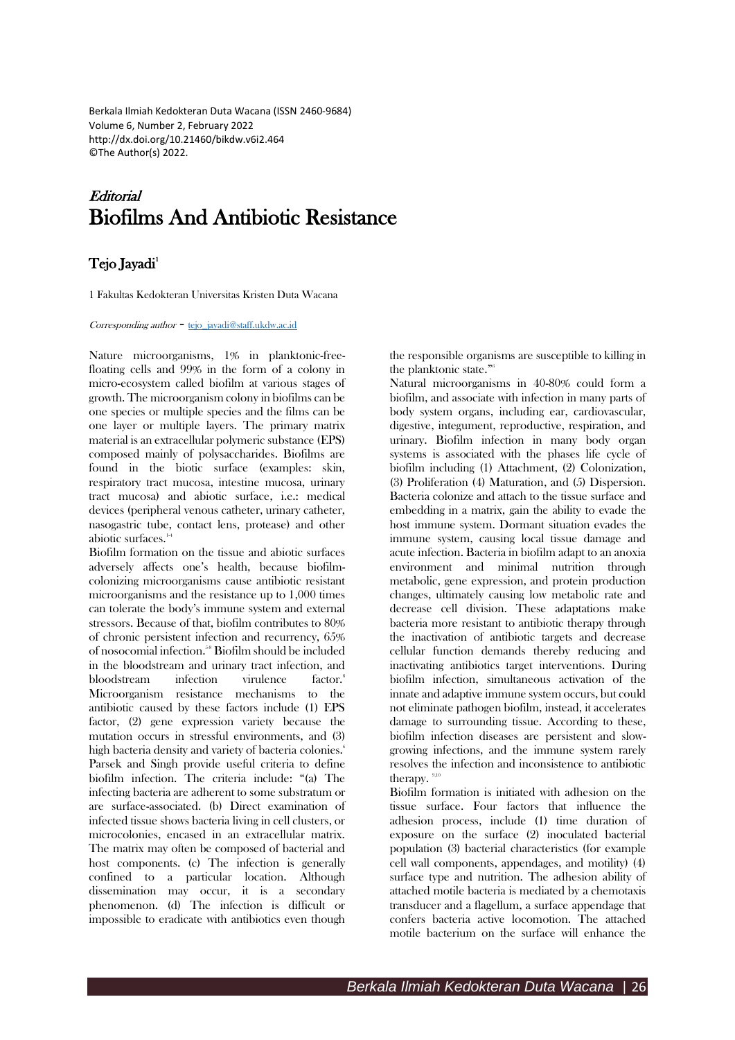Berkala Ilmiah Kedokteran Duta Wacana (ISSN 2460-9684) Volume 6, Number 2, February 2022 http://dx.doi.org/10.21460/bikdw.v6i2.464 ©The Author(s) 2022.

# **Editorial** Biofilms And Antibiotic Resistance

# Tejo Jayadi<sup>1</sup>

1 Fakultas Kedokteran Universitas Kristen Duta Wacana

#### Corresponding author - [tejo\\_jayadi@staff.ukdw.ac.id](mailto:tejo_jayadi@staff.ukdw.ac.id)

Nature microorganisms, 1% in planktonic-freefloating cells and 99% in the form of a colony in micro-ecosystem called biofilm at various stages of growth. The microorganism colony in biofilms can be one species or multiple species and the films can be one layer or multiple layers. The primary matrix material is an extracellular polymeric substance (EPS) composed mainly of polysaccharides. Biofilms are found in the biotic surface (examples: skin, respiratory tract mucosa, intestine mucosa, urinary tract mucosa) and abiotic surface, i.e.: medical devices (peripheral venous catheter, urinary catheter, nasogastric tube, contact lens, protease) and other abiotic surfaces.<sup>1</sup>

Biofilm formation on the tissue and abiotic surfaces adversely affects one's health, because biofilmcolonizing microorganisms cause antibiotic resistant microorganisms and the resistance up to 1,000 times can tolerate the body's immune system and external stressors. Because of that, biofilm contributes to 80% of chronic persistent infection and recurrency, 65% of nosocomial infection. 5-8 Biofilm should be included in the bloodstream and urinary tract infection, and bloodstream infection virulence factor.<sup>8</sup> Microorganism resistance mechanisms to the antibiotic caused by these factors include (1) EPS factor, (2) gene expression variety because the mutation occurs in stressful environments, and (3) high bacteria density and variety of bacteria colonies. 6 Parsek and Singh provide useful criteria to define biofilm infection. The criteria include: "(a) The infecting bacteria are adherent to some substratum or are surface-associated. (b) Direct examination of infected tissue shows bacteria living in cell clusters, or microcolonies, encased in an extracellular matrix. The matrix may often be composed of bacterial and host components. (c) The infection is generally confined to a particular location. Although dissemination may occur, it is a secondary phenomenon. (d) The infection is difficult or impossible to eradicate with antibiotics even though

the responsible organisms are susceptible to killing in the planktonic state."<sup>6</sup>

Natural microorganisms in 40-80% could form a biofilm, and associate with infection in many parts of body system organs, including ear, cardiovascular, digestive, integument, reproductive, respiration, and urinary. Biofilm infection in many body organ systems is associated with the phases life cycle of biofilm including (1) Attachment, (2) Colonization, (3) Proliferation (4) Maturation, and (5) Dispersion. Bacteria colonize and attach to the tissue surface and embedding in a matrix, gain the ability to evade the host immune system. Dormant situation evades the immune system, causing local tissue damage and acute infection. Bacteria in biofilm adapt to an anoxia environment and minimal nutrition through metabolic, gene expression, and protein production changes, ultimately causing low metabolic rate and decrease cell division. These adaptations make bacteria more resistant to antibiotic therapy through the inactivation of antibiotic targets and decrease cellular function demands thereby reducing and inactivating antibiotics target interventions. During biofilm infection, simultaneous activation of the innate and adaptive immune system occurs, but could not eliminate pathogen biofilm, instead, it accelerates damage to surrounding tissue. According to these, biofilm infection diseases are persistent and slowgrowing infections, and the immune system rarely resolves the infection and inconsistence to antibiotic therapy. $9,1$ 

Biofilm formation is initiated with adhesion on the tissue surface. Four factors that influence the adhesion process, include (1) time duration of exposure on the surface (2) inoculated bacterial population (3) bacterial characteristics (for example cell wall components, appendages, and motility) (4) surface type and nutrition. The adhesion ability of attached motile bacteria is mediated by a chemotaxis transducer and a flagellum, a surface appendage that confers bacteria active locomotion. The attached motile bacterium on the surface will enhance the